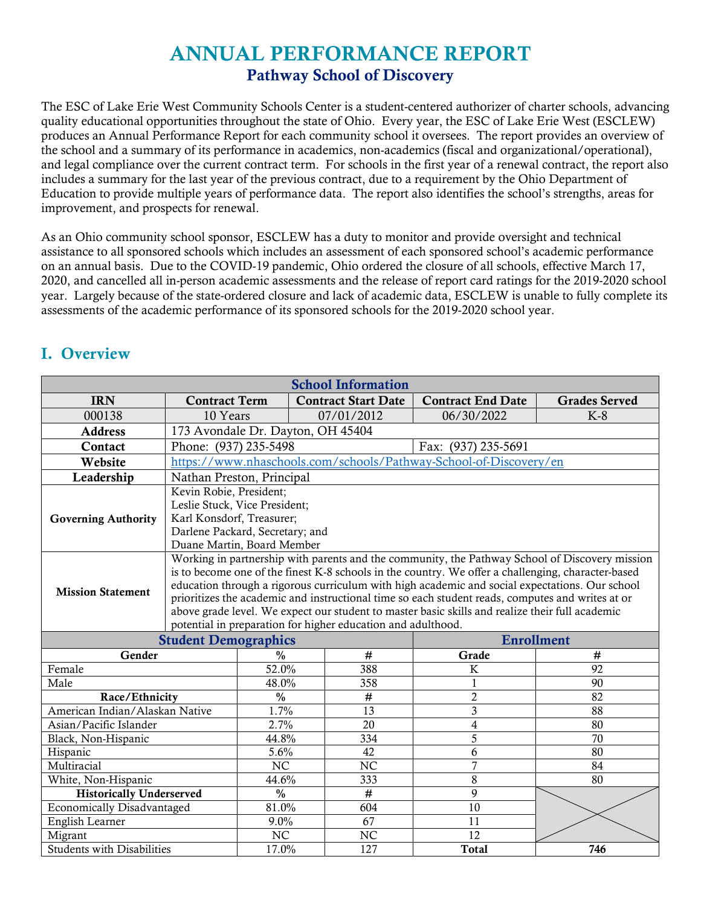# ANNUAL PERFORMANCE REPORT Pathway School of Discovery

The ESC of Lake Erie West Community Schools Center is a student-centered authorizer of charter schools, advancing quality educational opportunities throughout the state of Ohio. Every year, the ESC of Lake Erie West (ESCLEW) produces an Annual Performance Report for each community school it oversees. The report provides an overview of the school and a summary of its performance in academics, non-academics (fiscal and organizational/operational), and legal compliance over the current contract term. For schools in the first year of a renewal contract, the report also includes a summary for the last year of the previous contract, due to a requirement by the Ohio Department of Education to provide multiple years of performance data. The report also identifies the school's strengths, areas for improvement, and prospects for renewal.

As an Ohio community school sponsor, ESCLEW has a duty to monitor and provide oversight and technical assistance to all sponsored schools which includes an assessment of each sponsored school's academic performance on an annual basis. Due to the COVID-19 pandemic, Ohio ordered the closure of all schools, effective March 17, 2020, and cancelled all in-person academic assessments and the release of report card ratings for the 2019-2020 school year. Largely because of the state-ordered closure and lack of academic data, ESCLEW is unable to fully complete its assessments of the academic performance of its sponsored schools for the 2019-2020 school year.

| <b>School Information</b>         |                                                                                                                                                                                                                                                                                                                                                                                                                                                                                                                                                                               |                 |                            |                                                                   |                      |  |
|-----------------------------------|-------------------------------------------------------------------------------------------------------------------------------------------------------------------------------------------------------------------------------------------------------------------------------------------------------------------------------------------------------------------------------------------------------------------------------------------------------------------------------------------------------------------------------------------------------------------------------|-----------------|----------------------------|-------------------------------------------------------------------|----------------------|--|
| <b>IRN</b>                        | <b>Contract Term</b>                                                                                                                                                                                                                                                                                                                                                                                                                                                                                                                                                          |                 | <b>Contract Start Date</b> | <b>Contract End Date</b>                                          | <b>Grades Served</b> |  |
| 000138                            | 10 Years                                                                                                                                                                                                                                                                                                                                                                                                                                                                                                                                                                      |                 | 07/01/2012                 | 06/30/2022                                                        | $K-8$                |  |
| <b>Address</b>                    | 173 Avondale Dr. Dayton, OH 45404                                                                                                                                                                                                                                                                                                                                                                                                                                                                                                                                             |                 |                            |                                                                   |                      |  |
| Contact                           | Phone: (937) 235-5498                                                                                                                                                                                                                                                                                                                                                                                                                                                                                                                                                         |                 |                            | Fax: (937) 235-5691                                               |                      |  |
| Website                           |                                                                                                                                                                                                                                                                                                                                                                                                                                                                                                                                                                               |                 |                            | https://www.nhaschools.com/schools/Pathway-School-of-Discovery/en |                      |  |
| Leadership                        | Nathan Preston, Principal                                                                                                                                                                                                                                                                                                                                                                                                                                                                                                                                                     |                 |                            |                                                                   |                      |  |
| <b>Governing Authority</b>        | Kevin Robie, President;<br>Leslie Stuck, Vice President;<br>Karl Konsdorf, Treasurer;<br>Darlene Packard, Secretary; and<br>Duane Martin, Board Member                                                                                                                                                                                                                                                                                                                                                                                                                        |                 |                            |                                                                   |                      |  |
| <b>Mission Statement</b>          | Working in partnership with parents and the community, the Pathway School of Discovery mission<br>is to become one of the finest K-8 schools in the country. We offer a challenging, character-based<br>education through a rigorous curriculum with high academic and social expectations. Our school<br>prioritizes the academic and instructional time so each student reads, computes and writes at or<br>above grade level. We expect our student to master basic skills and realize their full academic<br>potential in preparation for higher education and adulthood. |                 |                            |                                                                   |                      |  |
|                                   | <b>Enrollment</b><br><b>Student Demographics</b>                                                                                                                                                                                                                                                                                                                                                                                                                                                                                                                              |                 |                            |                                                                   |                      |  |
| Gender                            |                                                                                                                                                                                                                                                                                                                                                                                                                                                                                                                                                                               | $\frac{0}{0}$   | #                          | Grade<br>#                                                        |                      |  |
| Female                            |                                                                                                                                                                                                                                                                                                                                                                                                                                                                                                                                                                               | 52.0%           | 388                        | $\rm K$                                                           | 92                   |  |
| Male                              |                                                                                                                                                                                                                                                                                                                                                                                                                                                                                                                                                                               | 48.0%           | 358                        | 1                                                                 | 90                   |  |
| Race/Ethnicity                    |                                                                                                                                                                                                                                                                                                                                                                                                                                                                                                                                                                               | $\frac{0}{0}$   | $\#$                       | $\overline{2}$                                                    | 82                   |  |
| American Indian/Alaskan Native    |                                                                                                                                                                                                                                                                                                                                                                                                                                                                                                                                                                               | 1.7%            | $\overline{13}$            | 3                                                                 | 88                   |  |
| Asian/Pacific Islander            |                                                                                                                                                                                                                                                                                                                                                                                                                                                                                                                                                                               | 2.7%            | $\overline{20}$            | $\overline{4}$                                                    | 80                   |  |
| Black, Non-Hispanic               |                                                                                                                                                                                                                                                                                                                                                                                                                                                                                                                                                                               | 44.8%           | 334                        | $\overline{5}$                                                    | 70                   |  |
| Hispanic                          |                                                                                                                                                                                                                                                                                                                                                                                                                                                                                                                                                                               | 5.6%            | 42                         | 6                                                                 | 80                   |  |
| Multiracial                       |                                                                                                                                                                                                                                                                                                                                                                                                                                                                                                                                                                               | NC              | N <sub>C</sub>             | $\overline{7}$                                                    | 84                   |  |
| White, Non-Hispanic               |                                                                                                                                                                                                                                                                                                                                                                                                                                                                                                                                                                               | 44.6%           | 333                        | 8                                                                 | 80                   |  |
| <b>Historically Underserved</b>   |                                                                                                                                                                                                                                                                                                                                                                                                                                                                                                                                                                               | $\frac{0}{0}$   | $\#$                       | 9                                                                 |                      |  |
| <b>Economically Disadvantaged</b> |                                                                                                                                                                                                                                                                                                                                                                                                                                                                                                                                                                               | 81.0%           | 604                        | 10                                                                |                      |  |
| English Learner                   |                                                                                                                                                                                                                                                                                                                                                                                                                                                                                                                                                                               | 9.0%            | 67                         | 11                                                                |                      |  |
| Migrant                           |                                                                                                                                                                                                                                                                                                                                                                                                                                                                                                                                                                               | $N\overline{C}$ | NC                         | 12                                                                |                      |  |
| <b>Students with Disabilities</b> |                                                                                                                                                                                                                                                                                                                                                                                                                                                                                                                                                                               | 17.0%           | 127                        | <b>Total</b>                                                      | 746                  |  |

### I. Overview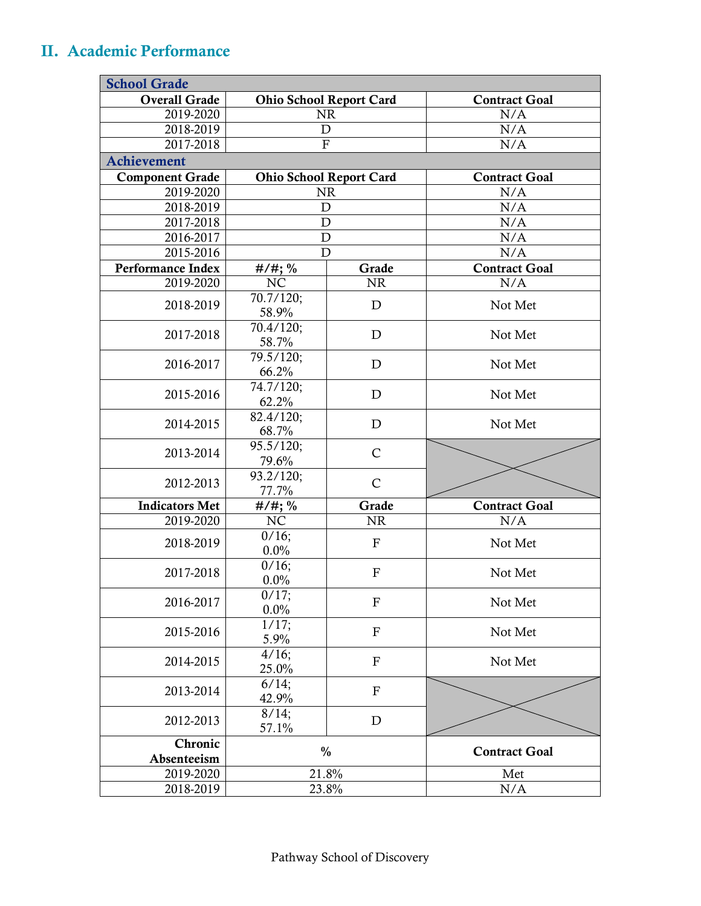## II. Academic Performance

| <b>School Grade</b>      |                                |              |                      |  |  |  |
|--------------------------|--------------------------------|--------------|----------------------|--|--|--|
| <b>Overall Grade</b>     | <b>Ohio School Report Card</b> |              | <b>Contract Goal</b> |  |  |  |
| 2019-2020                | <b>NR</b>                      |              | N/A                  |  |  |  |
| 2018-2019                | $\mathbf D$                    |              | N/A                  |  |  |  |
| 2017-2018                | $\mathbf F$                    |              | N/A                  |  |  |  |
| <b>Achievement</b>       |                                |              |                      |  |  |  |
| <b>Component Grade</b>   | <b>Ohio School Report Card</b> |              | <b>Contract Goal</b> |  |  |  |
| 2019-2020                | <b>NR</b>                      |              | N/A                  |  |  |  |
| 2018-2019                | $\mathbf D$                    |              | N/A                  |  |  |  |
| 2017-2018                | D                              |              | N/A                  |  |  |  |
| 2016-2017                | D                              |              | N/A                  |  |  |  |
| 2015-2016                | D                              |              | N/A                  |  |  |  |
| <b>Performance Index</b> | $#/#$ ; %                      | Grade        | <b>Contract Goal</b> |  |  |  |
| 2019-2020                | NC                             | <b>NR</b>    | N/A                  |  |  |  |
| 2018-2019                | 70.7/120;<br>58.9%             | D            | Not Met              |  |  |  |
| 2017-2018                | 70.4/120;<br>58.7%             | D            | Not Met              |  |  |  |
| 2016-2017                | 79.5/120;<br>66.2%             | D            | Not Met              |  |  |  |
| 2015-2016                | 74.7/120;<br>62.2%             | $\mathbf D$  | Not Met              |  |  |  |
| 2014-2015                | 82.4/120;<br>68.7%             | D            | Not Met              |  |  |  |
| 2013-2014                | 95.5/120;<br>79.6%             | $\mathsf{C}$ |                      |  |  |  |
| 2012-2013                | 93.2/120;<br>77.7%             | $\mathsf{C}$ |                      |  |  |  |
| <b>Indicators Met</b>    | $#/#$ ; %                      | Grade        | <b>Contract Goal</b> |  |  |  |
| 2019-2020                | NC                             | <b>NR</b>    | N/A                  |  |  |  |
| 2018-2019                | 0/16;<br>0.0%                  | $\mathbf{F}$ | Not Met              |  |  |  |
| 2017-2018                | 0/16;<br>0.0%                  | $\mathbf F$  | Not Met              |  |  |  |
| 2016-2017                | 0/17;<br>0.0%                  | $\mathbf{F}$ | Not Met              |  |  |  |
| 2015-2016                | $1/17$ ;<br>5.9%               | $\mathbf{F}$ | Not Met              |  |  |  |
| 2014-2015                | 4/16;<br>25.0%                 | $\mathbf F$  | Not Met              |  |  |  |
| 2013-2014                | 6/14;<br>42.9%                 | ${\bf F}$    |                      |  |  |  |
| 2012-2013                | 8/14;<br>57.1%                 | $\mathbf D$  |                      |  |  |  |
| Chronic<br>Absenteeism   | $\frac{0}{0}$                  |              | <b>Contract Goal</b> |  |  |  |
| 2019-2020                | 21.8%                          |              | Met                  |  |  |  |
| 2018-2019                | 23.8%                          |              | N/A                  |  |  |  |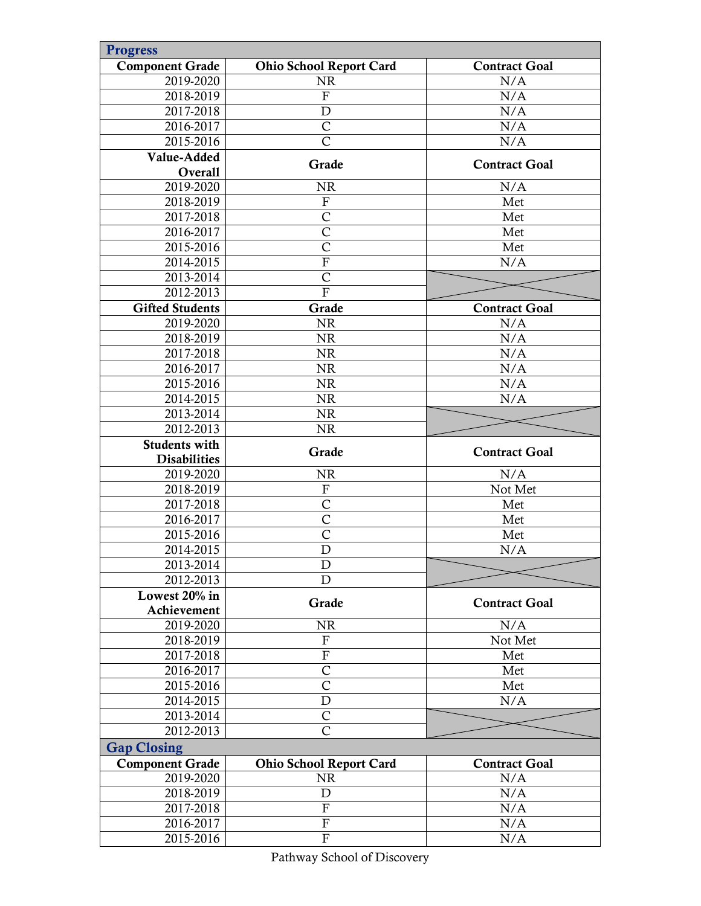| <b>Progress</b>        |                                |                      |
|------------------------|--------------------------------|----------------------|
| <b>Component Grade</b> | <b>Ohio School Report Card</b> | <b>Contract Goal</b> |
| 2019-2020              | <b>NR</b>                      | N/A                  |
| 2018-2019              | ${\bf F}$                      | N/A                  |
| 2017-2018              | $\mathbf D$                    | N/A                  |
| 2016-2017              | $\overline{C}$                 | N/A                  |
| 2015-2016              | $\overline{\rm C}$             | N/A                  |
| Value-Added            |                                |                      |
| Overall                | Grade                          | <b>Contract Goal</b> |
| 2019-2020              | <b>NR</b>                      | N/A                  |
| 2018-2019              | ${\bf F}$                      | Met                  |
| 2017-2018              | $\overline{\text{C}}$          | Met                  |
| 2016-2017              | $\overline{C}$                 | Met                  |
| 2015-2016              | $\overline{C}$                 | Met                  |
| 2014-2015              | ${\bf F}$                      | N/A                  |
| 2013-2014              | $\mathsf{C}$                   |                      |
| 2012-2013              | $\overline{F}$                 |                      |
| <b>Gifted Students</b> | Grade                          | <b>Contract Goal</b> |
| 2019-2020              | <b>NR</b>                      | N/A                  |
| 2018-2019              | <b>NR</b>                      | N/A                  |
| 2017-2018              | <b>NR</b>                      | N/A                  |
| 2016-2017              | <b>NR</b>                      | N/A                  |
| 2015-2016              | <b>NR</b>                      | N/A                  |
| 2014-2015              | <b>NR</b>                      | N/A                  |
| 2013-2014              | <b>NR</b>                      |                      |
| 2012-2013              | <b>NR</b>                      |                      |
| <b>Students with</b>   |                                |                      |
| <b>Disabilities</b>    | Grade                          | <b>Contract Goal</b> |
| 2019-2020              | <b>NR</b>                      | N/A                  |
| 2018-2019              | ${\bf F}$                      | Not Met              |
| 2017-2018              | $\mathsf{C}$                   | Met                  |
| 2016-2017              | $\mathsf{C}$                   | Met                  |
| 2015-2016              | $\overline{\mathsf{C}}$        | Met                  |
| 2014-2015              | $\mathbf D$                    | N/A                  |
| 2013-2014              | D                              |                      |
| 2012-2013              | D                              |                      |
| Lowest 20% in          |                                |                      |
| Achievement            | Grade                          | <b>Contract Goal</b> |
| 2019-2020              | <b>NR</b>                      | N/A                  |
| 2018-2019              | $\boldsymbol{\mathrm{F}}$      | Not Met              |
| 2017-2018              | $\overline{F}$                 | Met                  |
| 2016-2017              | $\mathsf{C}$                   | Met                  |
| 2015-2016              | $\overline{C}$                 | Met                  |
| 2014-2015              | $\mathbf D$                    | N/A                  |
| 2013-2014              | $\mathsf{C}$                   |                      |
| 2012-2013              | $\overline{C}$                 |                      |
| <b>Gap Closing</b>     |                                |                      |
| <b>Component Grade</b> | <b>Ohio School Report Card</b> | <b>Contract Goal</b> |
| 2019-2020              | <b>NR</b>                      | N/A                  |
| 2018-2019              |                                |                      |
|                        |                                |                      |
|                        | $\mathbf D$                    | N/A                  |
| 2017-2018<br>2016-2017 | $\overline{F}$<br>${\bf F}$    | N/A<br>N/A           |

Pathway School of Discovery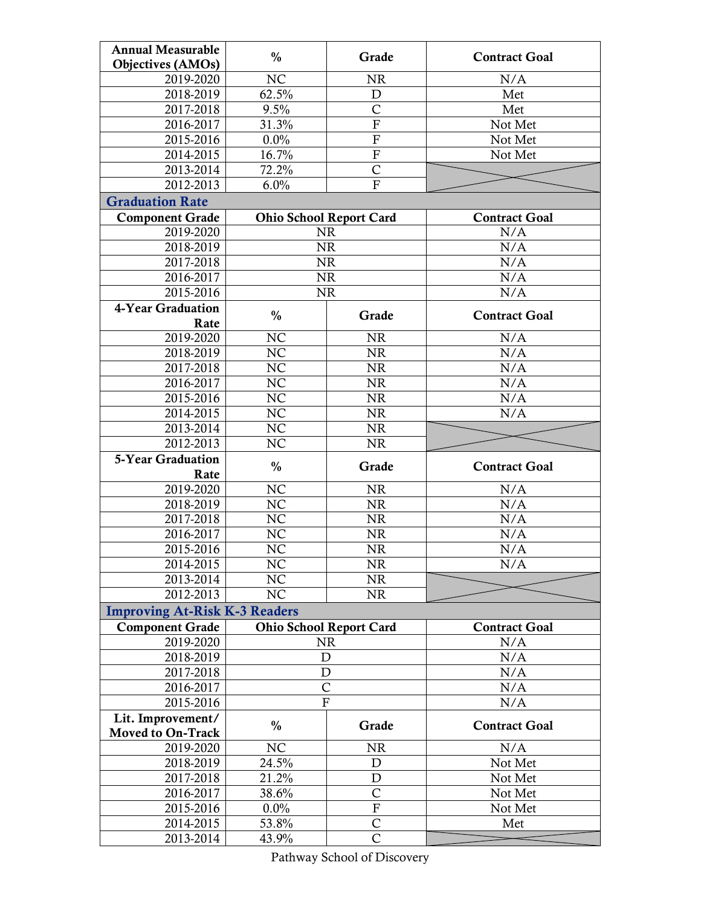| <b>Annual Measurable</b>             | $\frac{0}{0}$                  | Grade                     | <b>Contract Goal</b> |
|--------------------------------------|--------------------------------|---------------------------|----------------------|
| <b>Objectives (AMOs)</b>             |                                |                           |                      |
| 2019-2020                            | NC                             | <b>NR</b>                 | N/A                  |
| 2018-2019                            | 62.5%                          | $\mathbf D$               | Met                  |
| 2017-2018                            | 9.5%                           | $\mathsf C$               | Met                  |
| 2016-2017                            | 31.3%                          | $\overline{\mathrm{F}}$   | Not Met              |
| 2015-2016                            | $0.0\%$                        | $\boldsymbol{\mathrm{F}}$ | Not Met              |
| 2014-2015                            | 16.7%                          | $\overline{F}$            | Not Met              |
| 2013-2014                            | 72.2%                          | $\overline{\text{C}}$     |                      |
| 2012-2013                            | 6.0%                           | $\overline{F}$            |                      |
| <b>Graduation Rate</b>               |                                |                           |                      |
| <b>Component Grade</b>               | <b>Ohio School Report Card</b> |                           | <b>Contract Goal</b> |
| 2019-2020                            | <b>NR</b>                      |                           | N/A                  |
| 2018-2019                            | <b>NR</b>                      |                           | N/A                  |
| 2017-2018                            | <b>NR</b>                      |                           | N/A                  |
| 2016-2017                            | <b>NR</b>                      |                           | N/A                  |
| 2015-2016                            | <b>NR</b>                      |                           | N/A                  |
| 4-Year Graduation                    | $\frac{0}{0}$                  | Grade                     | <b>Contract Goal</b> |
| Rate                                 |                                |                           |                      |
| 2019-2020                            | NC                             | <b>NR</b>                 | N/A                  |
| 2018-2019                            | NC                             | NR                        | N/A                  |
| 2017-2018                            | NC                             | <b>NR</b>                 | N/A                  |
| 2016-2017                            | NC                             | NR                        | N/A                  |
| 2015-2016                            | NC                             | <b>NR</b>                 | N/A                  |
| 2014-2015                            | NC                             | <b>NR</b>                 | N/A                  |
| 2013-2014                            | NC                             | <b>NR</b>                 |                      |
|                                      |                                |                           |                      |
| 2012-2013                            | NC                             | <b>NR</b>                 |                      |
| 5-Year Graduation                    |                                |                           |                      |
| Rate                                 | $\frac{0}{0}$                  | Grade                     | <b>Contract Goal</b> |
| 2019-2020                            | NC                             | <b>NR</b>                 | N/A                  |
| 2018-2019                            | NC                             | <b>NR</b>                 | N/A                  |
| 2017-2018                            | NC                             | <b>NR</b>                 | N/A                  |
| 2016-2017                            | <b>NC</b>                      | NR                        | N/A                  |
| 2015-2016                            | N <sub>C</sub>                 | <b>NR</b>                 | N/A                  |
| 2014-2015                            | NC                             | <b>NR</b>                 | N/A                  |
| 2013-2014                            | NC                             | <b>NR</b>                 |                      |
| 2012-2013                            | NC                             | <b>NR</b>                 |                      |
| <b>Improving At-Risk K-3 Readers</b> |                                |                           |                      |
| <b>Component Grade</b>               | <b>Ohio School Report Card</b> |                           | <b>Contract Goal</b> |
| 2019-2020                            | <b>NR</b>                      |                           | N/A                  |
| 2018-2019                            | $\mathbf D$                    |                           | N/A                  |
| 2017-2018                            | $\mathbf D$                    |                           | N/A                  |
| 2016-2017                            | $\overline{C}$                 |                           | N/A                  |
| 2015-2016                            | $\mathbf F$                    |                           | N/A                  |
| Lit. Improvement/                    |                                |                           |                      |
| Moved to On-Track                    | $\frac{0}{0}$                  | Grade                     | <b>Contract Goal</b> |
| 2019-2020                            | NC                             | <b>NR</b>                 | N/A                  |
| 2018-2019                            | 24.5%                          | D                         | Not Met              |
| 2017-2018                            | 21.2%                          | $\mathbf D$               | Not Met              |
| 2016-2017                            | 38.6%                          | $\overline{C}$            | Not Met              |
| 2015-2016                            | 0.0%                           | $\overline{\mathrm{F}}$   | Not Met              |
| 2014-2015                            | 53.8%                          | C<br>Ċ                    | Met                  |

Pathway School of Discovery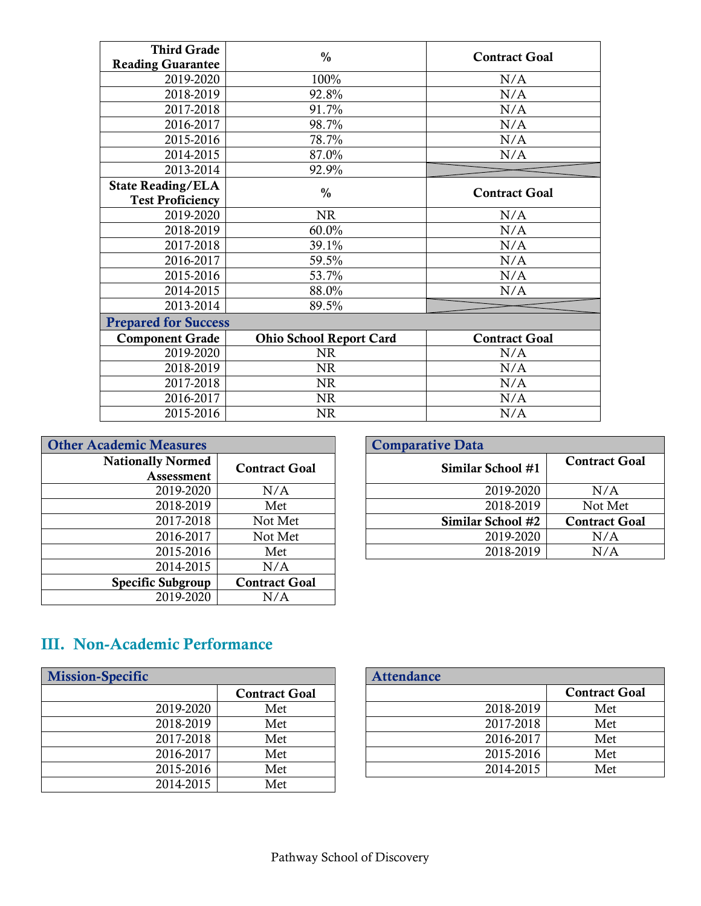| <b>Third Grade</b>          | $\frac{0}{0}$                  |                      |
|-----------------------------|--------------------------------|----------------------|
| <b>Reading Guarantee</b>    |                                | <b>Contract Goal</b> |
| 2019-2020                   | 100%                           | N/A                  |
| 2018-2019                   | 92.8%                          | N/A                  |
| 2017-2018                   | 91.7%                          | N/A                  |
| 2016-2017                   | 98.7%                          | N/A                  |
| 2015-2016                   | 78.7%                          | N/A                  |
| 2014-2015                   | 87.0%                          | N/A                  |
| 2013-2014                   | 92.9%                          |                      |
| <b>State Reading/ELA</b>    | $\frac{0}{0}$                  | <b>Contract Goal</b> |
| <b>Test Proficiency</b>     |                                |                      |
| 2019-2020                   | <b>NR</b>                      | N/A                  |
| 2018-2019                   | 60.0%                          | N/A                  |
| 2017-2018                   | 39.1%                          | N/A                  |
| 2016-2017                   | 59.5%                          | N/A                  |
| 2015-2016                   | 53.7%                          | N/A                  |
| 2014-2015                   | 88.0%                          | N/A                  |
| 2013-2014                   | 89.5%                          |                      |
| <b>Prepared for Success</b> |                                |                      |
| <b>Component Grade</b>      | <b>Ohio School Report Card</b> | <b>Contract Goal</b> |
| 2019-2020                   | <b>NR</b>                      | N/A                  |
| 2018-2019                   | <b>NR</b>                      | N/A                  |
| 2017-2018                   | <b>NR</b>                      | N/A                  |
| 2016-2017                   | <b>NR</b>                      | N/A                  |
| 2015-2016                   | <b>NR</b>                      | N/A                  |

| <b>Other Academic Measures</b> |                      | <b>Comparative Data</b> |
|--------------------------------|----------------------|-------------------------|
| <b>Nationally Normed</b>       | <b>Contract Goal</b> | <b>Similar</b>          |
| Assessment                     |                      |                         |
| 2019-2020                      | N/A                  |                         |
| 2018-2019                      | Met                  |                         |
| 2017-2018                      | Not Met              | <b>Similar</b>          |
| 2016-2017                      | Not Met              |                         |
| 2015-2016                      | Met                  |                         |
| 2014-2015                      | N/A                  |                         |
| <b>Specific Subgroup</b>       | <b>Contract Goal</b> |                         |
| 2019-2020                      | N/A                  |                         |

| <b>Measures</b>          |                      | <b>Comparative Data</b> |                      |
|--------------------------|----------------------|-------------------------|----------------------|
| lly Normed<br>Assessment | <b>Contract Goal</b> | Similar School #1       | <b>Contract Goal</b> |
| 2019-2020                | N/A                  | 2019-2020               | N/A                  |
| 2018-2019                | Met                  | 2018-2019               | Not Met              |
| 2017-2018                | Not Met              | Similar School #2       | <b>Contract Goal</b> |
| 2016-2017                | Not Met              | 2019-2020               | N/A                  |
| 2015-2016                | Met                  | 2018-2019               | N/A                  |

# III. Non-Academic Performance

| <b>Mission-Specific</b> |                      |
|-------------------------|----------------------|
|                         | <b>Contract Goal</b> |
| 2019-2020               | Met                  |
| 2018-2019               | Met                  |
| 2017-2018               | Met                  |
| 2016-2017               | Met                  |
| 2015-2016               | Met                  |
| 2014-2015               | Met                  |

|           |                      | <b>Attendance</b> |                      |
|-----------|----------------------|-------------------|----------------------|
|           | <b>Contract Goal</b> |                   | <b>Contract Goal</b> |
| 2019-2020 | Met                  | 2018-2019         | Met                  |
| 2018-2019 | Met                  | 2017-2018         | Met                  |
| 2017-2018 | Met                  | 2016-2017         | Met                  |
| 2016-2017 | Met                  | 2015-2016         | Met                  |
| 2015-2016 | Met                  | 2014-2015         | Met                  |
|           |                      |                   |                      |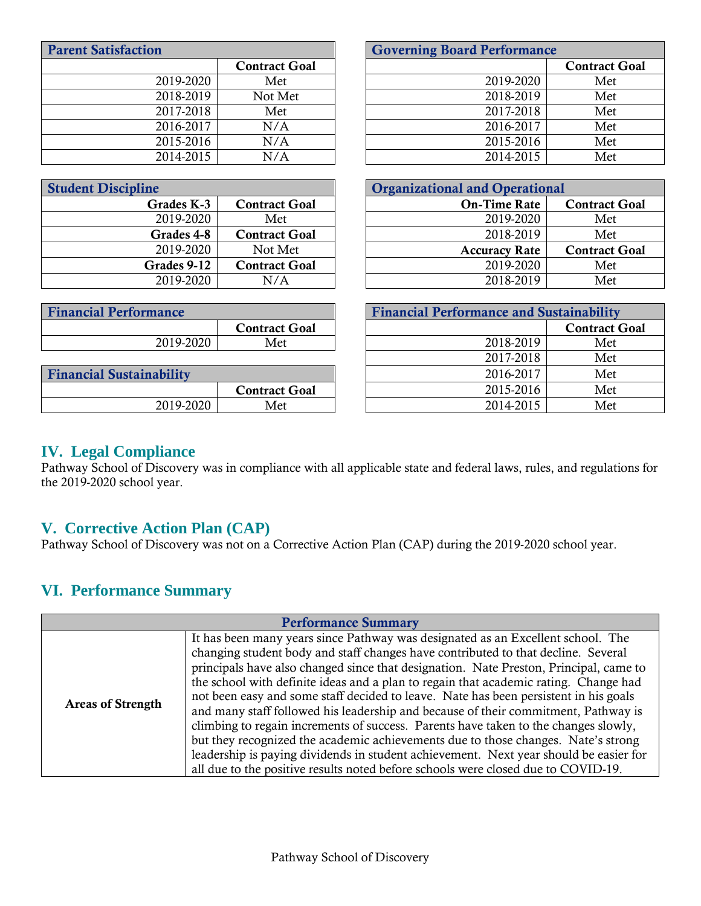| <b>Parent Satisfaction</b>   |                      | <b>Governing Board Performance</b>              |                      |
|------------------------------|----------------------|-------------------------------------------------|----------------------|
|                              | <b>Contract Goal</b> |                                                 | <b>Contract Goal</b> |
| 2019-2020                    | Met                  | 2019-2020                                       | Met                  |
| 2018-2019                    | Not Met              | 2018-2019                                       | Met                  |
| 2017-2018                    | Met                  | 2017-2018                                       | Met                  |
| 2016-2017                    | N/A                  | 2016-2017                                       | Met                  |
| 2015-2016                    | N/A                  | 2015-2016                                       | Met                  |
| 2014-2015                    | N/A                  | 2014-2015                                       | Met                  |
|                              |                      |                                                 |                      |
| <b>Student Discipline</b>    |                      | <b>Organizational and Operational</b>           |                      |
| Grades K-3                   | <b>Contract Goal</b> | <b>On-Time Rate</b>                             | <b>Contract Goal</b> |
| 2019-2020                    | Met                  | 2019-2020                                       | Met                  |
|                              |                      |                                                 |                      |
| Grades 4-8                   | <b>Contract Goal</b> | 2018-2019                                       | Met                  |
| 2019-2020                    | Not Met              | <b>Accuracy Rate</b>                            | <b>Contract Goal</b> |
| Grades 9-12                  | <b>Contract Goal</b> | 2019-2020                                       | Met                  |
| 2019-2020                    | N/A                  | 2018-2019                                       | Met                  |
|                              |                      |                                                 |                      |
| <b>Financial Performance</b> |                      | <b>Financial Performance and Sustainability</b> |                      |
|                              | <b>Contract Goal</b> |                                                 | <b>Contract Goal</b> |

|                                 |                      | --------  | ----- |
|---------------------------------|----------------------|-----------|-------|
| <b>Financial Sustainability</b> |                      | 2016-2017 | Met   |
|                                 | <b>Contract Goal</b> | 2015-2016 | Met   |
| 2019-2020                       | Met                  | 2014-2015 | Met   |

| ансе      |                      | T mancial I criormance and Sustamability |                      |
|-----------|----------------------|------------------------------------------|----------------------|
|           | <b>Contract Goal</b> |                                          | <b>Contract Goal</b> |
| 2019-2020 | Met                  | 2018-2019                                | Met                  |
|           |                      | 2017-2018                                | Met                  |
| ibility   |                      | 2016-2017                                | Met                  |
|           | <b>Contract Goal</b> | 2015-2016                                | Met                  |
| 2019-2020 | Met                  | 2014-2015                                | Met                  |

#### **IV. Legal Compliance**

Pathway School of Discovery was in compliance with all applicable state and federal laws, rules, and regulations for the 2019-2020 school year.

### **V. Corrective Action Plan (CAP)**

Pathway School of Discovery was not on a Corrective Action Plan (CAP) during the 2019-2020 school year.

### **VI. Performance Summary**

| <b>Performance Summary</b> |                                                                                                                                                                                                                                                                                                                                                                                                                                                                                                                                                                                                                                                                                                                                                                                                                                                                                               |
|----------------------------|-----------------------------------------------------------------------------------------------------------------------------------------------------------------------------------------------------------------------------------------------------------------------------------------------------------------------------------------------------------------------------------------------------------------------------------------------------------------------------------------------------------------------------------------------------------------------------------------------------------------------------------------------------------------------------------------------------------------------------------------------------------------------------------------------------------------------------------------------------------------------------------------------|
| <b>Areas of Strength</b>   | It has been many years since Pathway was designated as an Excellent school. The<br>changing student body and staff changes have contributed to that decline. Several<br>principals have also changed since that designation. Nate Preston, Principal, came to<br>the school with definite ideas and a plan to regain that academic rating. Change had<br>not been easy and some staff decided to leave. Nate has been persistent in his goals<br>and many staff followed his leadership and because of their commitment, Pathway is<br>climbing to regain increments of success. Parents have taken to the changes slowly,<br>but they recognized the academic achievements due to those changes. Nate's strong<br>leadership is paying dividends in student achievement. Next year should be easier for<br>all due to the positive results noted before schools were closed due to COVID-19. |